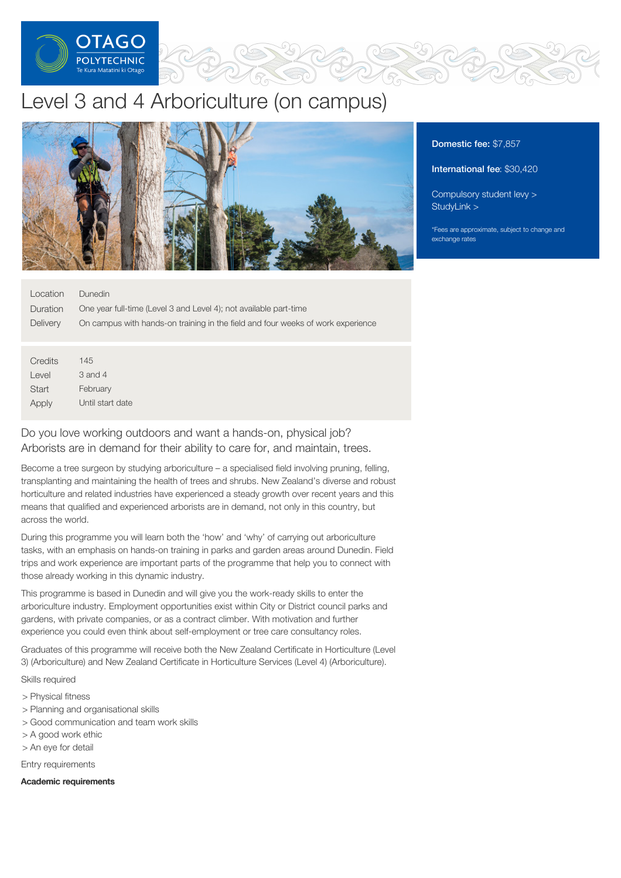

# Level 3 and 4 Arboriculture (on campus)



# Location Duration **Delivery** Dunedin One year full-time (Level 3 and Level 4); not available part-time On campus with hands-on training in the field and four weeks of work experience

**Credits** Level **Start** Apply 145 3 and 4 February Until start date

Do you love working outdoors and want a hands-on, physical job? Arborists are in demand for their ability to care for, and maintain, trees.

Become a tree surgeon by studying arboriculture – a specialised field involving pruning, felling, transplanting and maintaining the health of trees and shrubs. New Zealand's diverse and robust horticulture and related industries have experienced a steady growth over recent years and this means that qualified and experienced arborists are in demand, not only in this country, but across the world.

During this programme you will learn both the 'how' and 'why' of carrying out arboriculture tasks, with an emphasis on hands-on training in parks and garden areas around Dunedin. Field trips and work experience are important parts of the programme that help you to connect with those already working in this dynamic industry.

This programme is based in Dunedin and will give you the work-ready skills to enter the arboriculture industry. Employment opportunities exist within City or District council parks and gardens, with private companies, or as a contract climber. With motivation and further experience you could even think about self-employment or tree care consultancy roles.

Graduates of this programme will receive both the New Zealand Certificate in Horticulture (Level 3) (Arboriculture) and New Zealand Certificate in Horticulture Services (Level 4) (Arboriculture).

### Skills required

- > Physical fitness
- > Planning and organisational skills
- > Good communication and team work skills
- > A good work ethic
- > An eye for detail

Entry requirements

#### Academic requirements

# Domestic fee: \$7,857

International fee: \$30,420

[Compulsory](https://online.op.ac.nz/students/important-information/student-services-levy/) student levy > [StudyLink](https://www.studylink.govt.nz/) >

\*Fees are approximate, subject to change and exchange rates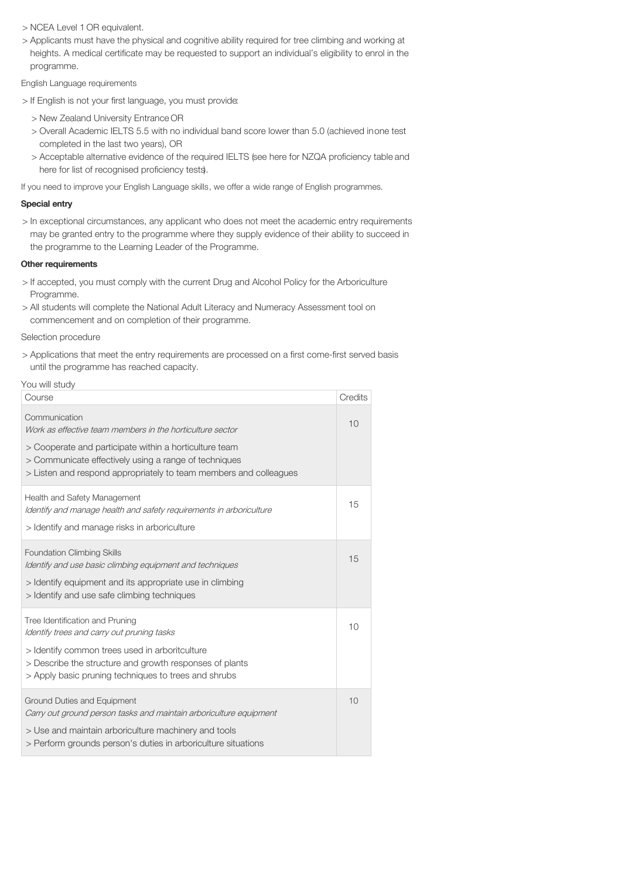> NCEA Level 1 OR equivalent.

> Applicants must have the physical and cognitive ability required for tree climbing and working at heights. A medical certificate may be requested to support an individual's eligibility to enrol in the programme.

English Language requirements

- > If English is not your first language, you must provide:
	- > New Zealand University Entrance OR
	- > Overall Academic IELTS 5.5 with no individual band score lower than 5.0 (achieved inone test completed in the last two years), OR
	- > Acceptable alternative evidence of the required IELTS (see here for NZQA proficiency table and here for list of recognised proficiency tests).

If you need to improve your English Language skills, we offer a wide range of English programmes.

## Special entry

> In exceptional circumstances, any applicant who does not meet the academic entry requirements may be granted entry to the programme where they supply evidence of their ability to succeed in the programme to the Learning Leader of the Programme.

#### Other requirements

- > If accepted, you must comply with the current Drug and Alcohol Policy for the Arboriculture Programme.
- > All students will complete the National Adult Literacy and Numeracy Assessment tool on commencement and on completion of their programme.

Selection procedure

> Applications that meet the entry requirements are processed on a first come-first served basis until the programme has reached capacity.

| You will study                                                                                                                                                                                                                                     |         |
|----------------------------------------------------------------------------------------------------------------------------------------------------------------------------------------------------------------------------------------------------|---------|
| Course                                                                                                                                                                                                                                             | Credits |
| Communication<br>Work as effective team members in the horticulture sector<br>> Cooperate and participate within a horticulture team                                                                                                               | 10      |
| > Communicate effectively using a range of techniques<br>> Listen and respond appropriately to team members and colleagues                                                                                                                         |         |
| Health and Safety Management<br>Identify and manage health and safety requirements in arboriculture<br>> Identify and manage risks in arboriculture                                                                                                | 15      |
| <b>Foundation Climbing Skills</b><br>Identify and use basic climbing equipment and techniques<br>> Identify equipment and its appropriate use in climbing<br>> Identify and use safe climbing techniques                                           | 15      |
| Tree Identification and Pruning<br>Identify trees and carry out pruning tasks<br>> Identify common trees used in arboritculture<br>> Describe the structure and growth responses of plants<br>> Apply basic pruning techniques to trees and shrubs | 10      |
| Ground Duties and Equipment<br>Carry out ground person tasks and maintain arboriculture equipment<br>> Use and maintain arboriculture machinery and tools<br>> Perform grounds person's duties in arboriculture situations                         | 10      |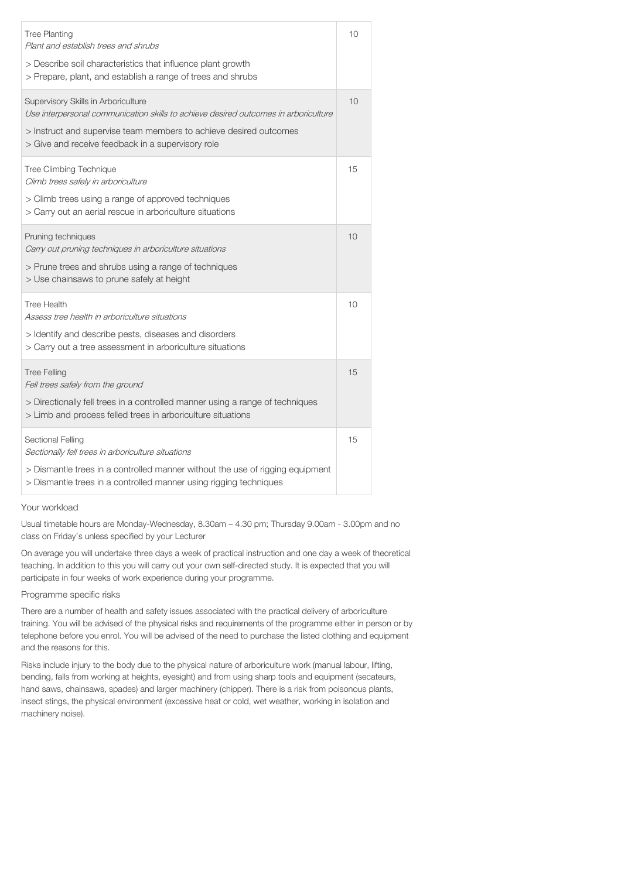| <b>Tree Planting</b><br>Plant and establish trees and shrubs<br>> Describe soil characteristics that influence plant growth<br>> Prepare, plant, and establish a range of trees and shrubs                                                           | 10 |
|------------------------------------------------------------------------------------------------------------------------------------------------------------------------------------------------------------------------------------------------------|----|
| Supervisory Skills in Arboriculture<br>Use interpersonal communication skills to achieve desired outcomes in arboriculture<br>> Instruct and supervise team members to achieve desired outcomes<br>> Give and receive feedback in a supervisory role | 10 |
| Tree Climbing Technique<br>Climb trees safely in arboriculture<br>> Climb trees using a range of approved techniques<br>> Carry out an aerial rescue in arboriculture situations                                                                     | 15 |
| Pruning techniques<br>Carry out pruning techniques in arboriculture situations<br>> Prune trees and shrubs using a range of techniques<br>> Use chainsaws to prune safely at height                                                                  | 10 |
| <b>Tree Health</b><br>Assess tree health in arboriculture situations<br>> Identify and describe pests, diseases and disorders<br>> Carry out a tree assessment in arboriculture situations                                                           | 10 |
| <b>Tree Felling</b><br>Fell trees safely from the ground<br>> Directionally fell trees in a controlled manner using a range of techniques<br>> Limb and process felled trees in arboriculture situations                                             | 15 |
| Sectional Felling<br>Sectionally fell trees in arboriculture situations<br>> Dismantle trees in a controlled manner without the use of rigging equipment<br>> Dismantle trees in a controlled manner using rigging techniques                        | 15 |

#### Your workload

Usual timetable hours are Monday-Wednesday, 8.30am – 4.30 pm; Thursday 9.00am - 3.00pm and no class on Friday's unless specified by your Lecturer

On average you will undertake three days a week of practical instruction and one day a week of theoretical teaching. In addition to this you will carry out your own self-directed study. It is expected that you will participate in four weeks of work experience during your programme.

#### Programme specific risks

There are a number of health and safety issues associated with the practical delivery of arboriculture training. You will be advised of the physical risks and requirements of the programme either in person or by telephone before you enrol. You will be advised of the need to purchase the listed clothing and equipment and the reasons for this.

Risks include injury to the body due to the physical nature of arboriculture work (manual labour, lifting, bending, falls from working at heights, eyesight) and from using sharp tools and equipment (secateurs, hand saws, chainsaws, spades) and larger machinery (chipper). There is a risk from poisonous plants, insect stings, the physical environment (excessive heat or cold, wet weather, working in isolation and machinery noise).